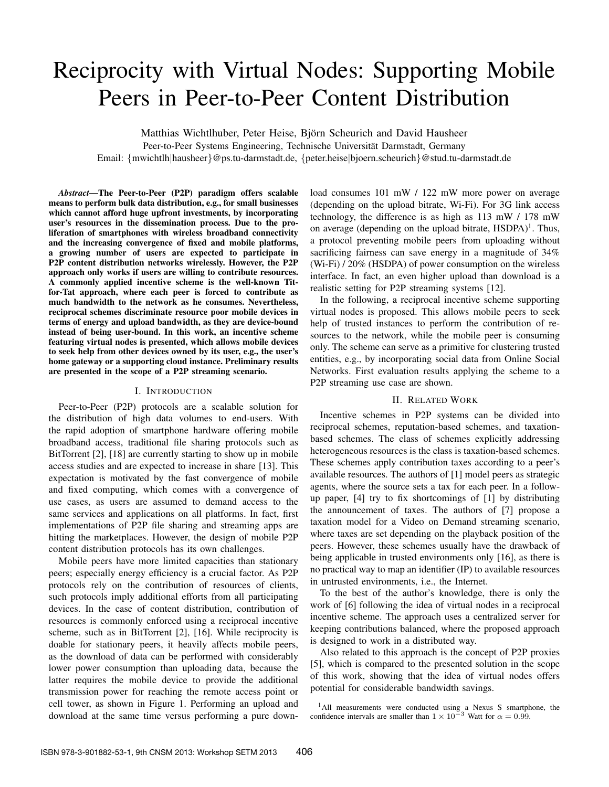# Reciprocity with Virtual Nodes: Supporting Mobile Peers in Peer-to-Peer Content Distribution

Matthias Wichtlhuber, Peter Heise, Bjorn Scheurich and David Hausheer ¨ Peer-to-Peer Systems Engineering, Technische Universität Darmstadt, Germany

Email: {mwichtlh|hausheer}@ps.tu-darmstadt.de, {peter.heise|bjoern.scheurich}@stud.tu-darmstadt.de

*Abstract*—The Peer-to-Peer (P2P) paradigm offers scalable means to perform bulk data distribution, e.g., for small businesses which cannot afford huge upfront investments, by incorporating user's resources in the dissemination process. Due to the proliferation of smartphones with wireless broadband connectivity and the increasing convergence of fixed and mobile platforms, a growing number of users are expected to participate in P2P content distribution networks wirelessly. However, the P2P approach only works if users are willing to contribute resources. A commonly applied incentive scheme is the well-known Titfor-Tat approach, where each peer is forced to contribute as much bandwidth to the network as he consumes. Nevertheless, reciprocal schemes discriminate resource poor mobile devices in terms of energy and upload bandwidth, as they are device-bound instead of being user-bound. In this work, an incentive scheme featuring virtual nodes is presented, which allows mobile devices to seek help from other devices owned by its user, e.g., the user's home gateway or a supporting cloud instance. Preliminary results are presented in the scope of a P2P streaming scenario.

#### I. INTRODUCTION

Peer-to-Peer (P2P) protocols are a scalable solution for the distribution of high data volumes to end-users. With the rapid adoption of smartphone hardware offering mobile broadband access, traditional file sharing protocols such as BitTorrent [2], [18] are currently starting to show up in mobile access studies and are expected to increase in share [13]. This expectation is motivated by the fast convergence of mobile and fixed computing, which comes with a convergence of use cases, as users are assumed to demand access to the same services and applications on all platforms. In fact, first implementations of P2P file sharing and streaming apps are hitting the marketplaces. However, the design of mobile P2P content distribution protocols has its own challenges.

Mobile peers have more limited capacities than stationary peers; especially energy efficiency is a crucial factor. As P2P protocols rely on the contribution of resources of clients, such protocols imply additional efforts from all participating devices. In the case of content distribution, contribution of resources is commonly enforced using a reciprocal incentive scheme, such as in BitTorrent [2], [16]. While reciprocity is doable for stationary peers, it heavily affects mobile peers, as the download of data can be performed with considerably lower power consumption than uploading data, because the latter requires the mobile device to provide the additional transmission power for reaching the remote access point or cell tower, as shown in Figure 1. Performing an upload and download at the same time versus performing a pure download consumes 101 mW / 122 mW more power on average (depending on the upload bitrate, Wi-Fi). For 3G link access technology, the difference is as high as 113 mW / 178 mW on average (depending on the upload bitrate,  $HSDPA$ )<sup>1</sup>. Thus, a protocol preventing mobile peers from uploading without sacrificing fairness can save energy in a magnitude of 34% (Wi-Fi) / 20% (HSDPA) of power consumption on the wireless interface. In fact, an even higher upload than download is a realistic setting for P2P streaming systems [12].

In the following, a reciprocal incentive scheme supporting virtual nodes is proposed. This allows mobile peers to seek help of trusted instances to perform the contribution of resources to the network, while the mobile peer is consuming only. The scheme can serve as a primitive for clustering trusted entities, e.g., by incorporating social data from Online Social Networks. First evaluation results applying the scheme to a P2P streaming use case are shown.

## II. RELATED WORK

Incentive schemes in P2P systems can be divided into reciprocal schemes, reputation-based schemes, and taxationbased schemes. The class of schemes explicitly addressing heterogeneous resources is the class is taxation-based schemes. These schemes apply contribution taxes according to a peer's available resources. The authors of [1] model peers as strategic agents, where the source sets a tax for each peer. In a followup paper, [4] try to fix shortcomings of [1] by distributing the announcement of taxes. The authors of [7] propose a taxation model for a Video on Demand streaming scenario, where taxes are set depending on the playback position of the peers. However, these schemes usually have the drawback of being applicable in trusted environments only [16], as there is no practical way to map an identifier (IP) to available resources in untrusted environments, i.e., the Internet.

To the best of the author's knowledge, there is only the work of [6] following the idea of virtual nodes in a reciprocal incentive scheme. The approach uses a centralized server for keeping contributions balanced, where the proposed approach is designed to work in a distributed way.

Also related to this approach is the concept of P2P proxies [5], which is compared to the presented solution in the scope of this work, showing that the idea of virtual nodes offers potential for considerable bandwidth savings.

<sup>1</sup>All measurements were conducted using a Nexus S smartphone, the confidence intervals are smaller than  $1 \times 10^{-3}$  Watt for  $\alpha = 0.99$ .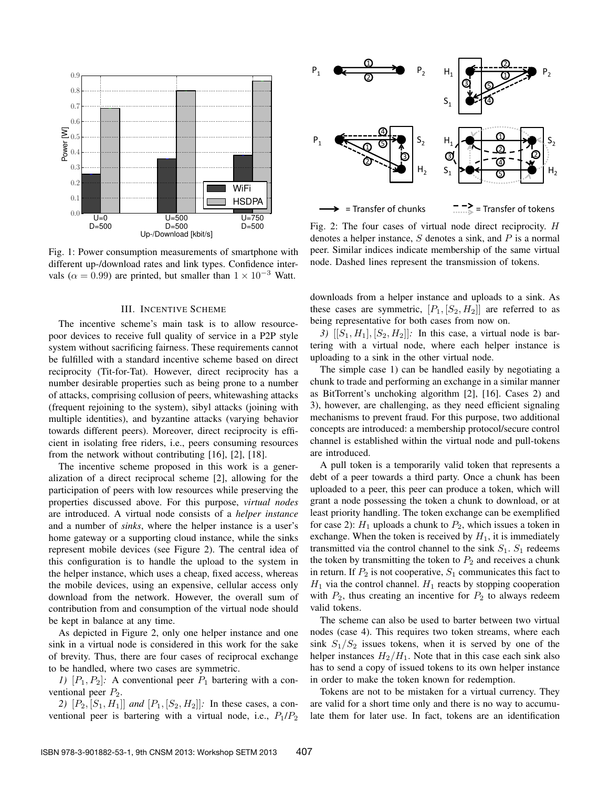

Fig. 1: Power consumption measurements of smartphone with different up-/download rates and link types. Confidence intervals ( $\alpha = 0.99$ ) are printed, but smaller than  $1 \times 10^{-3}$  Watt.

#### III. INCENTIVE SCHEME

The incentive scheme's main task is to allow resourcepoor devices to receive full quality of service in a P2P style system without sacrificing fairness. These requirements cannot be fulfilled with a standard incentive scheme based on direct reciprocity (Tit-for-Tat). However, direct reciprocity has a number desirable properties such as being prone to a number of attacks, comprising collusion of peers, whitewashing attacks (frequent rejoining to the system), sibyl attacks (joining with multiple identities), and byzantine attacks (varying behavior towards different peers). Moreover, direct reciprocity is efficient in isolating free riders, i.e., peers consuming resources from the network without contributing [16], [2], [18].

The incentive scheme proposed in this work is a generalization of a direct reciprocal scheme [2], allowing for the participation of peers with low resources while preserving the properties discussed above. For this purpose, *virtual nodes* are introduced. A virtual node consists of a *helper instance* and a number of *sinks*, where the helper instance is a user's home gateway or a supporting cloud instance, while the sinks represent mobile devices (see Figure 2). The central idea of this configuration is to handle the upload to the system in the helper instance, which uses a cheap, fixed access, whereas the mobile devices, using an expensive, cellular access only download from the network. However, the overall sum of contribution from and consumption of the virtual node should be kept in balance at any time.

As depicted in Figure 2, only one helper instance and one sink in a virtual node is considered in this work for the sake of brevity. Thus, there are four cases of reciprocal exchange to be handled, where two cases are symmetric.

*1)*  $[P_1, P_2]$ : A conventional peer  $P_1$  bartering with a conventional peer  $P_2$ .

2)  $[P_2, [S_1, H_1]]$  *and*  $[P_1, [S_2, H_2]]$ : In these cases, a conventional peer is bartering with a virtual node, i.e.,  $P_1/P_2$ 



Fig. 2: The four cases of virtual node direct reciprocity. H denotes a helper instance,  $S$  denotes a sink, and  $P$  is a normal peer. Similar indices indicate membership of the same virtual node. Dashed lines represent the transmission of tokens.

downloads from a helper instance and uploads to a sink. As these cases are symmetric,  $[P_1, [S_2, H_2]]$  are referred to as being representative for both cases from now on.

*3*)  $[[S_1, H_1], [S_2, H_2]]$ : In this case, a virtual node is bartering with a virtual node, where each helper instance is uploading to a sink in the other virtual node.

The simple case 1) can be handled easily by negotiating a chunk to trade and performing an exchange in a similar manner as BitTorrent's unchoking algorithm [2], [16]. Cases 2) and 3), however, are challenging, as they need efficient signaling mechanisms to prevent fraud. For this purpose, two additional concepts are introduced: a membership protocol/secure control channel is established within the virtual node and pull-tokens are introduced.

A pull token is a temporarily valid token that represents a debt of a peer towards a third party. Once a chunk has been uploaded to a peer, this peer can produce a token, which will grant a node possessing the token a chunk to download, or at least priority handling. The token exchange can be exemplified for case 2):  $H_1$  uploads a chunk to  $P_2$ , which issues a token in exchange. When the token is received by  $H_1$ , it is immediately transmitted via the control channel to the sink  $S_1$ .  $S_1$  redeems the token by transmitting the token to  $P_2$  and receives a chunk in return. If  $P_2$  is not cooperative,  $S_1$  communicates this fact to  $H_1$  via the control channel.  $H_1$  reacts by stopping cooperation with  $P_2$ , thus creating an incentive for  $P_2$  to always redeem valid tokens.

The scheme can also be used to barter between two virtual nodes (case 4). This requires two token streams, where each sink  $S_1/S_2$  issues tokens, when it is served by one of the helper instances  $H_2/H_1$ . Note that in this case each sink also has to send a copy of issued tokens to its own helper instance in order to make the token known for redemption.

Tokens are not to be mistaken for a virtual currency. They are valid for a short time only and there is no way to accumulate them for later use. In fact, tokens are an identification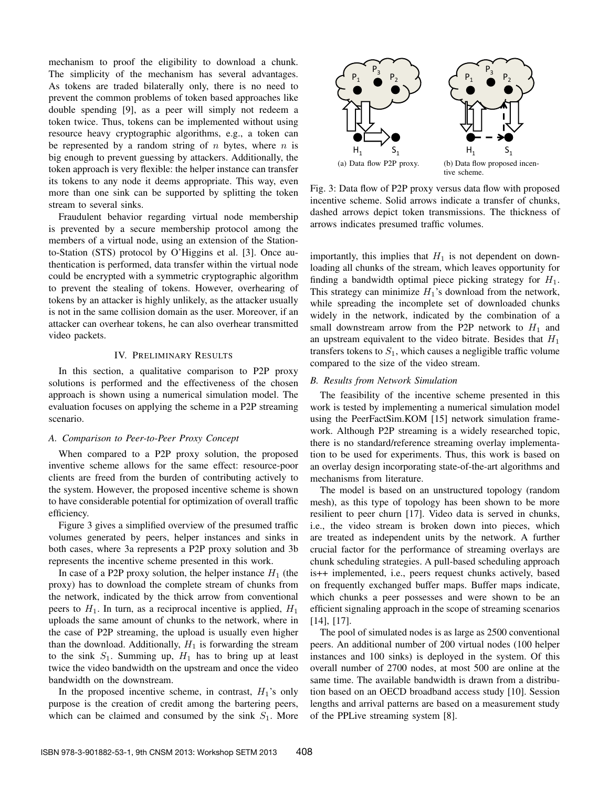mechanism to proof the eligibility to download a chunk. The simplicity of the mechanism has several advantages. As tokens are traded bilaterally only, there is no need to prevent the common problems of token based approaches like double spending [9], as a peer will simply not redeem a token twice. Thus, tokens can be implemented without using resource heavy cryptographic algorithms, e.g., a token can be represented by a random string of  $n$  bytes, where  $n$  is big enough to prevent guessing by attackers. Additionally, the token approach is very flexible: the helper instance can transfer its tokens to any node it deems appropriate. This way, even more than one sink can be supported by splitting the token stream to several sinks.

Fraudulent behavior regarding virtual node membership is prevented by a secure membership protocol among the members of a virtual node, using an extension of the Stationto-Station (STS) protocol by O'Higgins et al. [3]. Once authentication is performed, data transfer within the virtual node could be encrypted with a symmetric cryptographic algorithm to prevent the stealing of tokens. However, overhearing of tokens by an attacker is highly unlikely, as the attacker usually is not in the same collision domain as the user. Moreover, if an attacker can overhear tokens, he can also overhear transmitted video packets.

# IV. PRELIMINARY RESULTS

In this section, a qualitative comparison to P2P proxy solutions is performed and the effectiveness of the chosen approach is shown using a numerical simulation model. The evaluation focuses on applying the scheme in a P2P streaming scenario.

## *A. Comparison to Peer-to-Peer Proxy Concept*

When compared to a P2P proxy solution, the proposed inventive scheme allows for the same effect: resource-poor clients are freed from the burden of contributing actively to the system. However, the proposed incentive scheme is shown to have considerable potential for optimization of overall traffic efficiency.

Figure 3 gives a simplified overview of the presumed traffic volumes generated by peers, helper instances and sinks in both cases, where 3a represents a P2P proxy solution and 3b represents the incentive scheme presented in this work.

In case of a P2P proxy solution, the helper instance  $H_1$  (the proxy) has to download the complete stream of chunks from the network, indicated by the thick arrow from conventional peers to  $H_1$ . In turn, as a reciprocal incentive is applied,  $H_1$ uploads the same amount of chunks to the network, where in the case of P2P streaming, the upload is usually even higher than the download. Additionally,  $H_1$  is forwarding the stream to the sink  $S_1$ . Summing up,  $H_1$  has to bring up at least twice the video bandwidth on the upstream and once the video bandwidth on the downstream.

In the proposed incentive scheme, in contrast,  $H_1$ 's only purpose is the creation of credit among the bartering peers, which can be claimed and consumed by the sink  $S_1$ . More



Fig. 3: Data flow of P2P proxy versus data flow with proposed incentive scheme. Solid arrows indicate a transfer of chunks, dashed arrows depict token transmissions. The thickness of arrows indicates presumed traffic volumes.

importantly, this implies that  $H_1$  is not dependent on downloading all chunks of the stream, which leaves opportunity for finding a bandwidth optimal piece picking strategy for  $H_1$ . This strategy can minimize  $H_1$ 's download from the network, while spreading the incomplete set of downloaded chunks widely in the network, indicated by the combination of a small downstream arrow from the P2P network to  $H_1$  and an upstream equivalent to the video bitrate. Besides that  $H_1$ transfers tokens to  $S_1$ , which causes a negligible traffic volume compared to the size of the video stream.

# *B. Results from Network Simulation*

The feasibility of the incentive scheme presented in this work is tested by implementing a numerical simulation model using the PeerFactSim.KOM [15] network simulation framework. Although P2P streaming is a widely researched topic, there is no standard/reference streaming overlay implementation to be used for experiments. Thus, this work is based on an overlay design incorporating state-of-the-art algorithms and mechanisms from literature.

The model is based on an unstructured topology (random mesh), as this type of topology has been shown to be more resilient to peer churn [17]. Video data is served in chunks, i.e., the video stream is broken down into pieces, which are treated as independent units by the network. A further crucial factor for the performance of streaming overlays are chunk scheduling strategies. A pull-based scheduling approach is++ implemented, i.e., peers request chunks actively, based on frequently exchanged buffer maps. Buffer maps indicate, which chunks a peer possesses and were shown to be an efficient signaling approach in the scope of streaming scenarios [14], [17].

The pool of simulated nodes is as large as 2500 conventional peers. An additional number of 200 virtual nodes (100 helper instances and 100 sinks) is deployed in the system. Of this overall number of 2700 nodes, at most 500 are online at the same time. The available bandwidth is drawn from a distribution based on an OECD broadband access study [10]. Session lengths and arrival patterns are based on a measurement study of the PPLive streaming system [8].